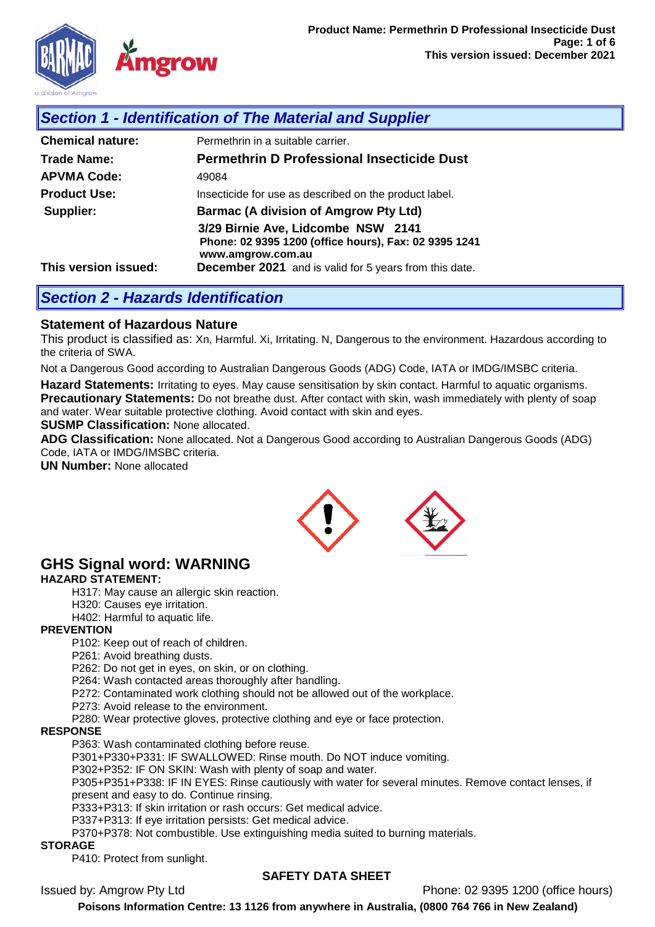

## *Section 1 - Identification of The Material and Supplier*

| <b>Chemical nature:</b> | Permethrin in a suitable carrier.                                                                                |  |
|-------------------------|------------------------------------------------------------------------------------------------------------------|--|
| Trade Name:             | <b>Permethrin D Professional Insecticide Dust</b>                                                                |  |
| <b>APVMA Code:</b>      | 49084                                                                                                            |  |
| <b>Product Use:</b>     | Insecticide for use as described on the product label.                                                           |  |
| Supplier:               | <b>Barmac (A division of Amgrow Pty Ltd)</b>                                                                     |  |
|                         | 3/29 Birnie Ave, Lidcombe NSW 2141<br>Phone: 02 9395 1200 (office hours), Fax: 02 9395 1241<br>www.amgrow.com.au |  |
| This version issued:    | <b>December 2021</b> and is valid for 5 years from this date.                                                    |  |

### *Section 2 - Hazards Identification*

### **Statement of Hazardous Nature**

This product is classified as: Xn, Harmful. Xi, Irritating. N, Dangerous to the environment. Hazardous according to the criteria of SWA.

Not a Dangerous Good according to Australian Dangerous Goods (ADG) Code, IATA or IMDG/IMSBC criteria.

**Hazard Statements:** Irritating to eyes. May cause sensitisation by skin contact. Harmful to aquatic organisms. **Precautionary Statements:** Do not breathe dust. After contact with skin, wash immediately with plenty of soap and water. Wear suitable protective clothing. Avoid contact with skin and eyes.

**SUSMP Classification:** None allocated.

**ADG Classification:** None allocated. Not a Dangerous Good according to Australian Dangerous Goods (ADG) Code, IATA or IMDG/IMSBC criteria.

**UN Number:** None allocated



# **GHS Signal word: WARNING**

#### **HAZARD STATEMENT:**

H317: May cause an allergic skin reaction.

H320: Causes eye irritation.

H402: Harmful to aquatic life.

#### **PREVENTION**

P102: Keep out of reach of children.

P261: Avoid breathing dusts.

P262: Do not get in eyes, on skin, or on clothing.

P264: Wash contacted areas thoroughly after handling.

P272: Contaminated work clothing should not be allowed out of the workplace.

P273: Avoid release to the environment.

P280: Wear protective gloves, protective clothing and eye or face protection.

#### **RESPONSE**

P363: Wash contaminated clothing before reuse.

P301+P330+P331: IF SWALLOWED: Rinse mouth. Do NOT induce vomiting.

P302+P352: IF ON SKIN: Wash with plenty of soap and water.

P305+P351+P338: IF IN EYES: Rinse cautiously with water for several minutes. Remove contact lenses, if present and easy to do. Continue rinsing.

P333+P313: If skin irritation or rash occurs: Get medical advice.

P337+P313: If eye irritation persists: Get medical advice.

P370+P378: Not combustible. Use extinguishing media suited to burning materials.

#### **STORAGE**

P410: Protect from sunlight.

### **SAFETY DATA SHEET**

Issued by: Amgrow Pty Ltd Phone: 02 9395 1200 (office hours)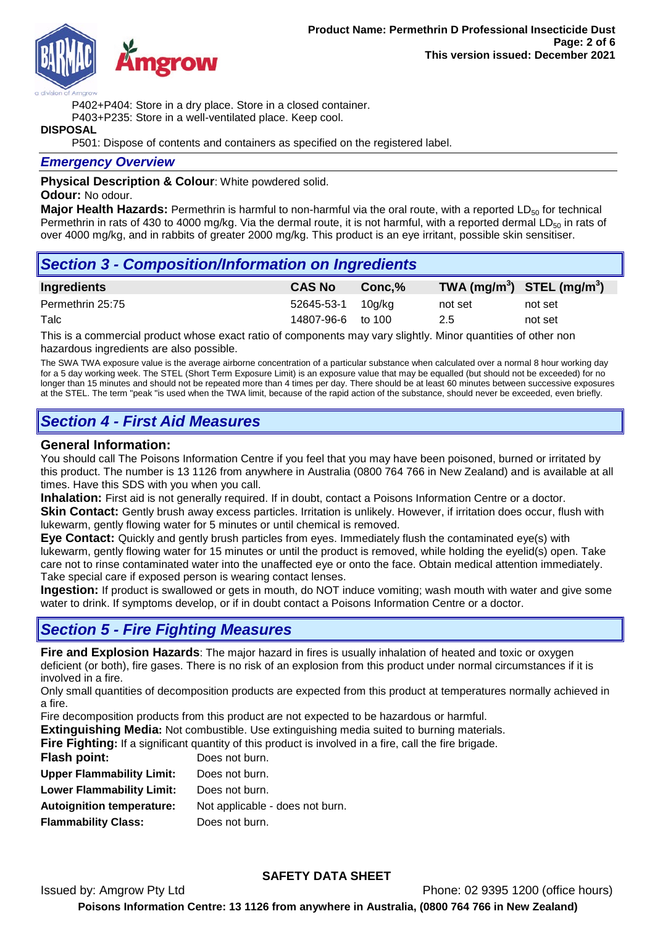

P402+P404: Store in a dry place. Store in a closed container.

P403+P235: Store in a well-ventilated place. Keep cool.

#### **DISPOSAL**

P501: Dispose of contents and containers as specified on the registered label.

### *Emergency Overview*

**Physical Description & Colour**: White powdered solid.

#### **Odour:** No odour.

**Major Health Hazards:** Permethrin is harmful to non-harmful via the oral route, with a reported LD<sub>50</sub> for technical Permethrin in rats of 430 to 4000 mg/kg. Via the dermal route, it is not harmful, with a reported dermal  $LD_{50}$  in rats of over 4000 mg/kg, and in rabbits of greater 2000 mg/kg. This product is an eye irritant, possible skin sensitiser.

## *Section 3 - Composition/Information on Ingredients*

| Ingredients      | <b>CAS No</b>     | Conc.% |         | TWA (mg/m <sup>3</sup> ) STEL (mg/m <sup>3</sup> ) |
|------------------|-------------------|--------|---------|----------------------------------------------------|
| Permethrin 25:75 | 52645-53-1 10g/kg |        | not set | not set                                            |
| Talc             | 14807-96-6 to 100 |        | 2.5     | not set                                            |

This is a commercial product whose exact ratio of components may vary slightly. Minor quantities of other non hazardous ingredients are also possible.

The SWA TWA exposure value is the average airborne concentration of a particular substance when calculated over a normal 8 hour working day for a 5 day working week. The STEL (Short Term Exposure Limit) is an exposure value that may be equalled (but should not be exceeded) for no longer than 15 minutes and should not be repeated more than 4 times per day. There should be at least 60 minutes between successive exposures at the STEL. The term "peak "is used when the TWA limit, because of the rapid action of the substance, should never be exceeded, even briefly.

# *Section 4 - First Aid Measures*

### **General Information:**

You should call The Poisons Information Centre if you feel that you may have been poisoned, burned or irritated by this product. The number is 13 1126 from anywhere in Australia (0800 764 766 in New Zealand) and is available at all times. Have this SDS with you when you call.

**Inhalation:** First aid is not generally required. If in doubt, contact a Poisons Information Centre or a doctor. **Skin Contact:** Gently brush away excess particles. Irritation is unlikely. However, if irritation does occur, flush with

lukewarm, gently flowing water for 5 minutes or until chemical is removed. **Eye Contact:** Quickly and gently brush particles from eyes. Immediately flush the contaminated eye(s) with lukewarm, gently flowing water for 15 minutes or until the product is removed, while holding the eyelid(s) open. Take care not to rinse contaminated water into the unaffected eye or onto the face. Obtain medical attention immediately. Take special care if exposed person is wearing contact lenses.

**Ingestion:** If product is swallowed or gets in mouth, do NOT induce vomiting; wash mouth with water and give some water to drink. If symptoms develop, or if in doubt contact a Poisons Information Centre or a doctor.

# *Section 5 - Fire Fighting Measures*

**Fire and Explosion Hazards**: The major hazard in fires is usually inhalation of heated and toxic or oxygen deficient (or both), fire gases. There is no risk of an explosion from this product under normal circumstances if it is involved in a fire.

Only small quantities of decomposition products are expected from this product at temperatures normally achieved in a fire.

Fire decomposition products from this product are not expected to be hazardous or harmful.

**Extinguishing Media:** Not combustible. Use extinguishing media suited to burning materials.

**Fire Fighting:** If a significant quantity of this product is involved in a fire, call the fire brigade.

| <b>Flash point:</b>              | Does not burn.                  |
|----------------------------------|---------------------------------|
| <b>Upper Flammability Limit:</b> | Does not burn.                  |
| <b>Lower Flammability Limit:</b> | Does not burn.                  |
| <b>Autoignition temperature:</b> | Not applicable - does not burn. |
| <b>Flammability Class:</b>       | Does not burn.                  |

### **SAFETY DATA SHEET**

Issued by: Amgrow Pty Ltd Phone: 02 9395 1200 (office hours)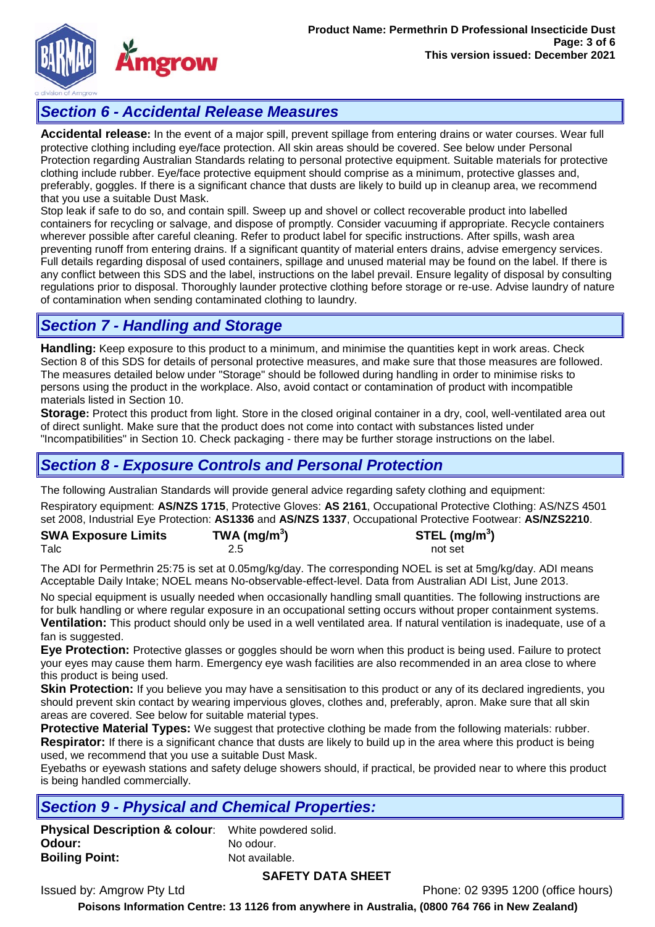

# *Section 6 - Accidental Release Measures*

**Accidental release:** In the event of a major spill, prevent spillage from entering drains or water courses. Wear full protective clothing including eye/face protection. All skin areas should be covered. See below under Personal Protection regarding Australian Standards relating to personal protective equipment. Suitable materials for protective clothing include rubber. Eye/face protective equipment should comprise as a minimum, protective glasses and, preferably, goggles. If there is a significant chance that dusts are likely to build up in cleanup area, we recommend that you use a suitable Dust Mask.

Stop leak if safe to do so, and contain spill. Sweep up and shovel or collect recoverable product into labelled containers for recycling or salvage, and dispose of promptly. Consider vacuuming if appropriate. Recycle containers wherever possible after careful cleaning. Refer to product label for specific instructions. After spills, wash area preventing runoff from entering drains. If a significant quantity of material enters drains, advise emergency services. Full details regarding disposal of used containers, spillage and unused material may be found on the label. If there is any conflict between this SDS and the label, instructions on the label prevail. Ensure legality of disposal by consulting regulations prior to disposal. Thoroughly launder protective clothing before storage or re-use. Advise laundry of nature of contamination when sending contaminated clothing to laundry.

# *Section 7 - Handling and Storage*

**Handling:** Keep exposure to this product to a minimum, and minimise the quantities kept in work areas. Check Section 8 of this SDS for details of personal protective measures, and make sure that those measures are followed. The measures detailed below under "Storage" should be followed during handling in order to minimise risks to persons using the product in the workplace. Also, avoid contact or contamination of product with incompatible materials listed in Section 10.

**Storage:** Protect this product from light. Store in the closed original container in a dry, cool, well-ventilated area out of direct sunlight. Make sure that the product does not come into contact with substances listed under "Incompatibilities" in Section 10. Check packaging - there may be further storage instructions on the label.

# *Section 8 - Exposure Controls and Personal Protection*

The following Australian Standards will provide general advice regarding safety clothing and equipment:

Respiratory equipment: **AS/NZS 1715**, Protective Gloves: **AS 2161**, Occupational Protective Clothing: AS/NZS 4501 set 2008, Industrial Eye Protection: **AS1336** and **AS/NZS 1337**, Occupational Protective Footwear: **AS/NZS2210**.

| <b>SWA Exposure Limits</b> | TWA (mg/m <sup>3</sup> ) | STEL (mg/m <sup>3</sup> ) |
|----------------------------|--------------------------|---------------------------|
| Talc                       |                          | not set                   |

The ADI for Permethrin 25:75 is set at 0.05mg/kg/day. The corresponding NOEL is set at 5mg/kg/day. ADI means Acceptable Daily Intake; NOEL means No-observable-effect-level. Data from Australian ADI List, June 2013.

No special equipment is usually needed when occasionally handling small quantities. The following instructions are for bulk handling or where regular exposure in an occupational setting occurs without proper containment systems. **Ventilation:** This product should only be used in a well ventilated area. If natural ventilation is inadequate, use of a

fan is suggested.

**Eye Protection:** Protective glasses or goggles should be worn when this product is being used. Failure to protect your eyes may cause them harm. Emergency eye wash facilities are also recommended in an area close to where this product is being used.

**Skin Protection:** If you believe you may have a sensitisation to this product or any of its declared ingredients, you should prevent skin contact by wearing impervious gloves, clothes and, preferably, apron. Make sure that all skin areas are covered. See below for suitable material types.

**Protective Material Types:** We suggest that protective clothing be made from the following materials: rubber. **Respirator:** If there is a significant chance that dusts are likely to build up in the area where this product is being used, we recommend that you use a suitable Dust Mask.

Eyebaths or eyewash stations and safety deluge showers should, if practical, be provided near to where this product is being handled commercially.

# *Section 9 - Physical and Chemical Properties:*

**Physical Description & colour**: White powdered solid. **Odour:** No odour. **Boiling Point:** Not available.

### **SAFETY DATA SHEET**

Issued by: Amgrow Pty Ltd Phone: 02 9395 1200 (office hours)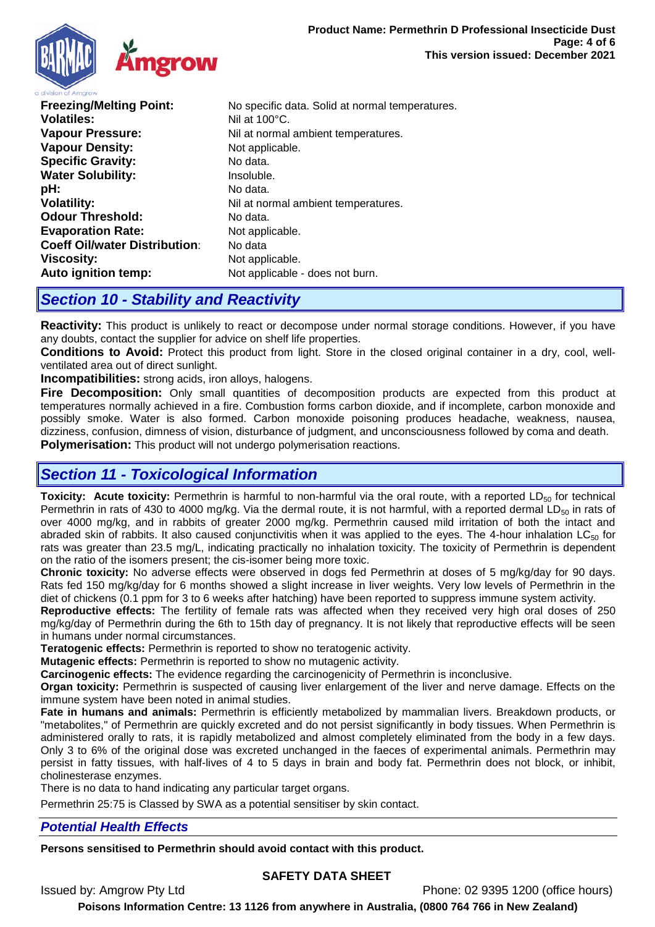

**Freezing/Melting Point:** No specific data. Solid at normal temperatures. **Volatiles:** Nil at 100°C. **Vapour Pressure:** Nil at normal ambient temperatures. **Vapour Density:** Not applicable. **Specific Gravity:** No data. **Water Solubility: Insoluble.**<br> **DH:** No data. **pH:** No data. **Volatility:**  $Nil$  at normal ambient temperatures. **Odour Threshold:** No data. **Evaporation Rate:** Not applicable. **Coeff Oil/water Distribution:** No data **Viscosity:** Not applicable. **Auto ignition temp:** Not applicable - does not burn.

## *Section 10 - Stability and Reactivity*

**Reactivity:** This product is unlikely to react or decompose under normal storage conditions. However, if you have any doubts, contact the supplier for advice on shelf life properties.

**Conditions to Avoid:** Protect this product from light. Store in the closed original container in a dry, cool, wellventilated area out of direct sunlight.

**Incompatibilities:** strong acids, iron alloys, halogens.

**Fire Decomposition:** Only small quantities of decomposition products are expected from this product at temperatures normally achieved in a fire. Combustion forms carbon dioxide, and if incomplete, carbon monoxide and possibly smoke. Water is also formed. Carbon monoxide poisoning produces headache, weakness, nausea, dizziness, confusion, dimness of vision, disturbance of judgment, and unconsciousness followed by coma and death. **Polymerisation:** This product will not undergo polymerisation reactions.

## *Section 11 - Toxicological Information*

**Toxicity: Acute toxicity:** Permethrin is harmful to non-harmful via the oral route, with a reported LD<sub>50</sub> for technical Permethrin in rats of 430 to 4000 mg/kg. Via the dermal route, it is not harmful, with a reported dermal LD $_{50}$  in rats of over 4000 mg/kg, and in rabbits of greater 2000 mg/kg. Permethrin caused mild irritation of both the intact and abraded skin of rabbits. It also caused conjunctivitis when it was applied to the eyes. The 4-hour inhalation  $LC_{50}$  for rats was greater than 23.5 mg/L, indicating practically no inhalation toxicity. The toxicity of Permethrin is dependent on the ratio of the isomers present; the cis-isomer being more toxic.

**Chronic toxicity:** No adverse effects were observed in dogs fed Permethrin at doses of 5 mg/kg/day for 90 days. Rats fed 150 mg/kg/day for 6 months showed a slight increase in liver weights. Very low levels of Permethrin in the diet of chickens (0.1 ppm for 3 to 6 weeks after hatching) have been reported to suppress immune system activity.

**Reproductive effects:** The fertility of female rats was affected when they received very high oral doses of 250 mg/kg/day of Permethrin during the 6th to 15th day of pregnancy. It is not likely that reproductive effects will be seen in humans under normal circumstances.

**Teratogenic effects:** Permethrin is reported to show no teratogenic activity.

**Mutagenic effects:** Permethrin is reported to show no mutagenic activity.

**Carcinogenic effects:** The evidence regarding the carcinogenicity of Permethrin is inconclusive.

**Organ toxicity:** Permethrin is suspected of causing liver enlargement of the liver and nerve damage. Effects on the immune system have been noted in animal studies.

**Fate in humans and animals:** Permethrin is efficiently metabolized by mammalian livers. Breakdown products, or "metabolites," of Permethrin are quickly excreted and do not persist significantly in body tissues. When Permethrin is administered orally to rats, it is rapidly metabolized and almost completely eliminated from the body in a few days. Only 3 to 6% of the original dose was excreted unchanged in the faeces of experimental animals. Permethrin may persist in fatty tissues, with half-lives of 4 to 5 days in brain and body fat. Permethrin does not block, or inhibit, cholinesterase enzymes.

There is no data to hand indicating any particular target organs.

Permethrin 25:75 is Classed by SWA as a potential sensitiser by skin contact.

### *Potential Health Effects*

**Persons sensitised to Permethrin should avoid contact with this product.**

### **SAFETY DATA SHEET**

Issued by: Amgrow Pty Ltd Phone: 02 9395 1200 (office hours)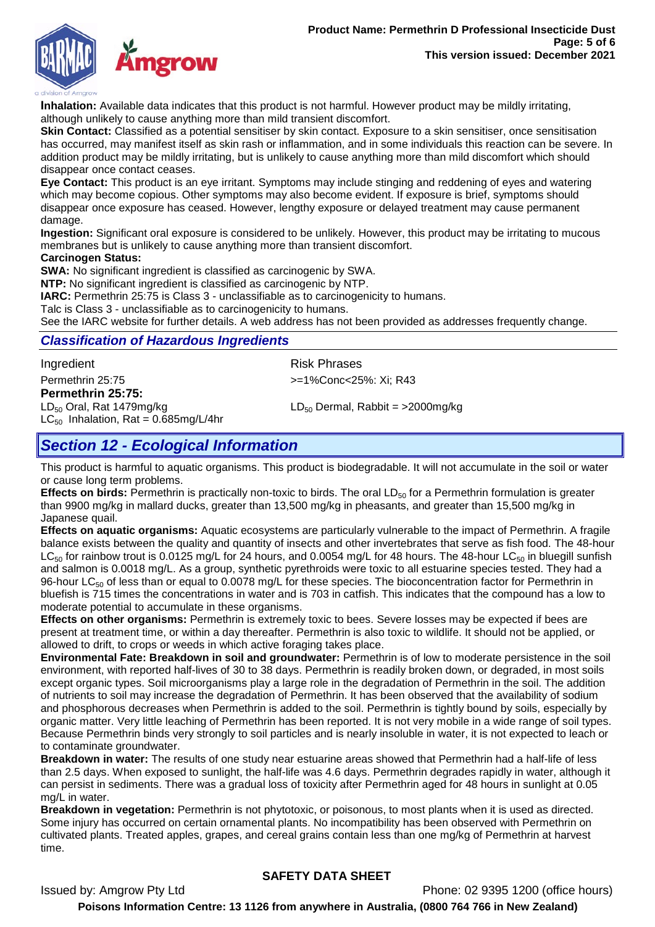

**Inhalation:** Available data indicates that this product is not harmful. However product may be mildly irritating, although unlikely to cause anything more than mild transient discomfort.

**Skin Contact:** Classified as a potential sensitiser by skin contact. Exposure to a skin sensitiser, once sensitisation has occurred, may manifest itself as skin rash or inflammation, and in some individuals this reaction can be severe. In addition product may be mildly irritating, but is unlikely to cause anything more than mild discomfort which should disappear once contact ceases.

**Eye Contact:** This product is an eye irritant. Symptoms may include stinging and reddening of eyes and watering which may become copious. Other symptoms may also become evident. If exposure is brief, symptoms should disappear once exposure has ceased. However, lengthy exposure or delayed treatment may cause permanent damage.

**Ingestion:** Significant oral exposure is considered to be unlikely. However, this product may be irritating to mucous membranes but is unlikely to cause anything more than transient discomfort.

#### **Carcinogen Status:**

**SWA:** No significant ingredient is classified as carcinogenic by SWA.

**NTP:** No significant ingredient is classified as carcinogenic by NTP.

**IARC:** Permethrin 25:75 is Class 3 - unclassifiable as to carcinogenicity to humans.

Talc is Class 3 - unclassifiable as to carcinogenicity to humans.

See the IARC website for further details. A web address has not been provided as addresses frequently change.

### *Classification of Hazardous Ingredients*

Ingredient **Risk Phrases** 

#### Permethrin 25:75 >=1%Conc<25%: Xi; R43

**Permethrin 25:75:**<br>LD<sub>50</sub> Oral, Rat 1479mg/kg  $LC_{50}$  Inhalation, Rat = 0.685mg/L/4hr

LD $_{50}$  Dermal, Rabbit = >2000mg/kg

# *Section 12 - Ecological Information*

This product is harmful to aquatic organisms. This product is biodegradable. It will not accumulate in the soil or water or cause long term problems.

**Effects on birds:** Permethrin is practically non-toxic to birds. The oral LD<sub>50</sub> for a Permethrin formulation is greater than 9900 mg/kg in mallard ducks, greater than 13,500 mg/kg in pheasants, and greater than 15,500 mg/kg in Japanese quail.

**Effects on aquatic organisms:** Aquatic ecosystems are particularly vulnerable to the impact of Permethrin. A fragile balance exists between the quality and quantity of insects and other invertebrates that serve as fish food. The 48-hour  $LC_{50}$  for rainbow trout is 0.0125 mg/L for 24 hours, and 0.0054 mg/L for 48 hours. The 48-hour  $LC_{50}$  in bluegill sunfish and salmon is 0.0018 mg/L. As a group, synthetic pyrethroids were toxic to all estuarine species tested. They had a 96-hour LC<sub>50</sub> of less than or equal to 0.0078 mg/L for these species. The bioconcentration factor for Permethrin in bluefish is 715 times the concentrations in water and is 703 in catfish. This indicates that the compound has a low to moderate potential to accumulate in these organisms.

**Effects on other organisms:** Permethrin is extremely toxic to bees. Severe losses may be expected if bees are present at treatment time, or within a day thereafter. Permethrin is also toxic to wildlife. It should not be applied, or allowed to drift, to crops or weeds in which active foraging takes place.

**Environmental Fate: Breakdown in soil and groundwater:** Permethrin is of low to moderate persistence in the soil environment, with reported half-lives of 30 to 38 days. Permethrin is readily broken down, or degraded, in most soils except organic types. Soil microorganisms play a large role in the degradation of Permethrin in the soil. The addition of nutrients to soil may increase the degradation of Permethrin. It has been observed that the availability of sodium and phosphorous decreases when Permethrin is added to the soil. Permethrin is tightly bound by soils, especially by organic matter. Very little leaching of Permethrin has been reported. It is not very mobile in a wide range of soil types. Because Permethrin binds very strongly to soil particles and is nearly insoluble in water, it is not expected to leach or to contaminate groundwater.

**Breakdown in water:** The results of one study near estuarine areas showed that Permethrin had a half-life of less than 2.5 days. When exposed to sunlight, the half-life was 4.6 days. Permethrin degrades rapidly in water, although it can persist in sediments. There was a gradual loss of toxicity after Permethrin aged for 48 hours in sunlight at 0.05 mg/L in water.

**Breakdown in vegetation:** Permethrin is not phytotoxic, or poisonous, to most plants when it is used as directed. Some injury has occurred on certain ornamental plants. No incompatibility has been observed with Permethrin on cultivated plants. Treated apples, grapes, and cereal grains contain less than one mg/kg of Permethrin at harvest time.

### **SAFETY DATA SHEET**

Issued by: Amgrow Pty Ltd Phone: 02 9395 1200 (office hours)